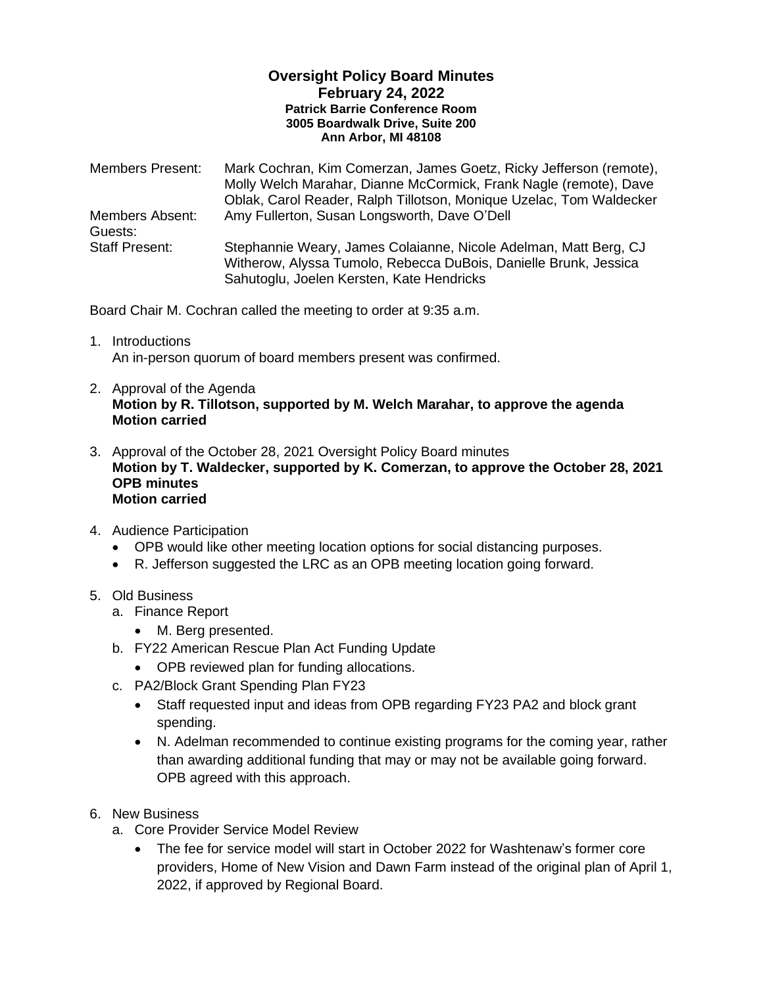## **Oversight Policy Board Minutes February 24, 2022 Patrick Barrie Conference Room 3005 Boardwalk Drive, Suite 200 Ann Arbor, MI 48108**

Members Present: Mark Cochran, Kim Comerzan, James Goetz, Ricky Jefferson (remote), Molly Welch Marahar, Dianne McCormick, Frank Nagle (remote), Dave Oblak, Carol Reader, Ralph Tillotson, Monique Uzelac, Tom Waldecker Members Absent: Amy Fullerton, Susan Longsworth, Dave O'Dell Guests: Staff Present: Stephannie Weary, James Colaianne, Nicole Adelman, Matt Berg, CJ Witherow, Alyssa Tumolo, Rebecca DuBois, Danielle Brunk, Jessica Sahutoglu, Joelen Kersten, Kate Hendricks

Board Chair M. Cochran called the meeting to order at 9:35 a.m.

- 1. Introductions An in-person quorum of board members present was confirmed.
- 2. Approval of the Agenda **Motion by R. Tillotson, supported by M. Welch Marahar, to approve the agenda Motion carried**
- 3. Approval of the October 28, 2021 Oversight Policy Board minutes **Motion by T. Waldecker, supported by K. Comerzan, to approve the October 28, 2021 OPB minutes Motion carried**
- 4. Audience Participation
	- OPB would like other meeting location options for social distancing purposes.
	- R. Jefferson suggested the LRC as an OPB meeting location going forward.
- 5. Old Business
	- a. Finance Report
		- M. Berg presented.
	- b. FY22 American Rescue Plan Act Funding Update
		- OPB reviewed plan for funding allocations.
	- c. PA2/Block Grant Spending Plan FY23
		- Staff requested input and ideas from OPB regarding FY23 PA2 and block grant spending.
		- N. Adelman recommended to continue existing programs for the coming year, rather than awarding additional funding that may or may not be available going forward. OPB agreed with this approach.
- 6. New Business
	- a. Core Provider Service Model Review
		- The fee for service model will start in October 2022 for Washtenaw's former core providers, Home of New Vision and Dawn Farm instead of the original plan of April 1, 2022, if approved by Regional Board.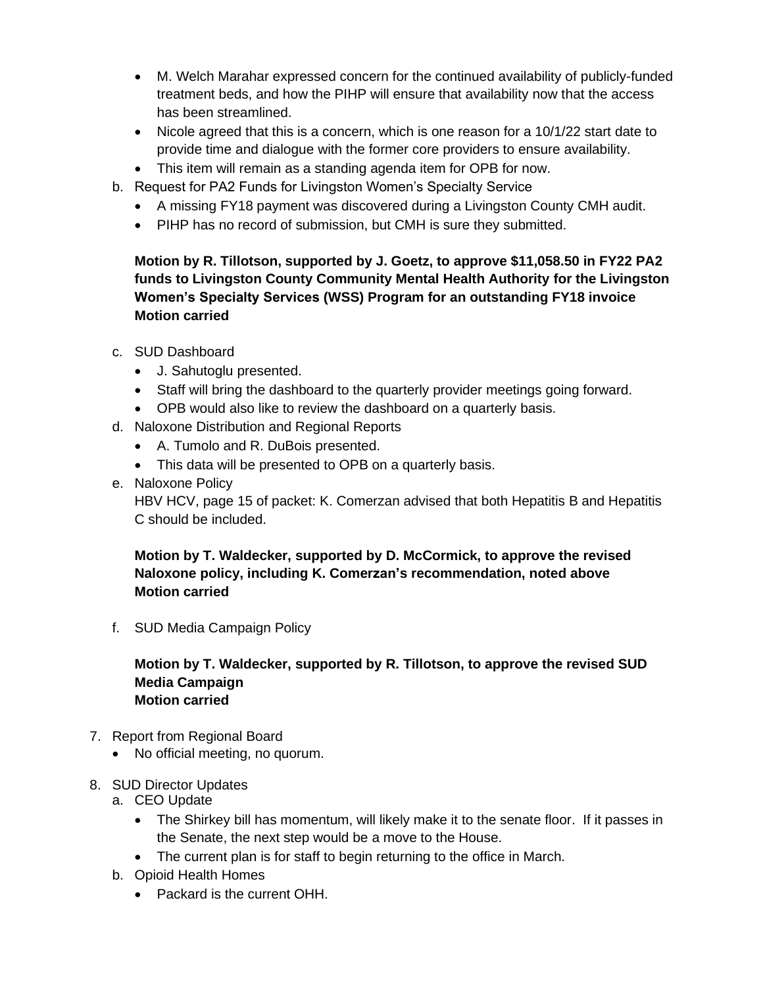- M. Welch Marahar expressed concern for the continued availability of publicly-funded treatment beds, and how the PIHP will ensure that availability now that the access has been streamlined.
- Nicole agreed that this is a concern, which is one reason for a 10/1/22 start date to provide time and dialogue with the former core providers to ensure availability.
- This item will remain as a standing agenda item for OPB for now.
- b. Request for PA2 Funds for Livingston Women's Specialty Service
	- A missing FY18 payment was discovered during a Livingston County CMH audit.
	- PIHP has no record of submission, but CMH is sure they submitted.

## **Motion by R. Tillotson, supported by J. Goetz, to approve \$11,058.50 in FY22 PA2 funds to Livingston County Community Mental Health Authority for the Livingston Women's Specialty Services (WSS) Program for an outstanding FY18 invoice Motion carried**

- c. SUD Dashboard
	- J. Sahutoglu presented.
	- Staff will bring the dashboard to the quarterly provider meetings going forward.
	- OPB would also like to review the dashboard on a quarterly basis.
- d. Naloxone Distribution and Regional Reports
	- A. Tumolo and R. DuBois presented.
	- This data will be presented to OPB on a quarterly basis.
- e. Naloxone Policy

HBV HCV, page 15 of packet: K. Comerzan advised that both Hepatitis B and Hepatitis C should be included.

## **Motion by T. Waldecker, supported by D. McCormick, to approve the revised Naloxone policy, including K. Comerzan's recommendation, noted above Motion carried**

f. SUD Media Campaign Policy

## **Motion by T. Waldecker, supported by R. Tillotson, to approve the revised SUD Media Campaign Motion carried**

- 7. Report from Regional Board
	- No official meeting, no quorum.
- 8. SUD Director Updates
	- a. CEO Update
		- The Shirkey bill has momentum, will likely make it to the senate floor. If it passes in the Senate, the next step would be a move to the House.
		- The current plan is for staff to begin returning to the office in March.
	- b. Opioid Health Homes
		- Packard is the current OHH.